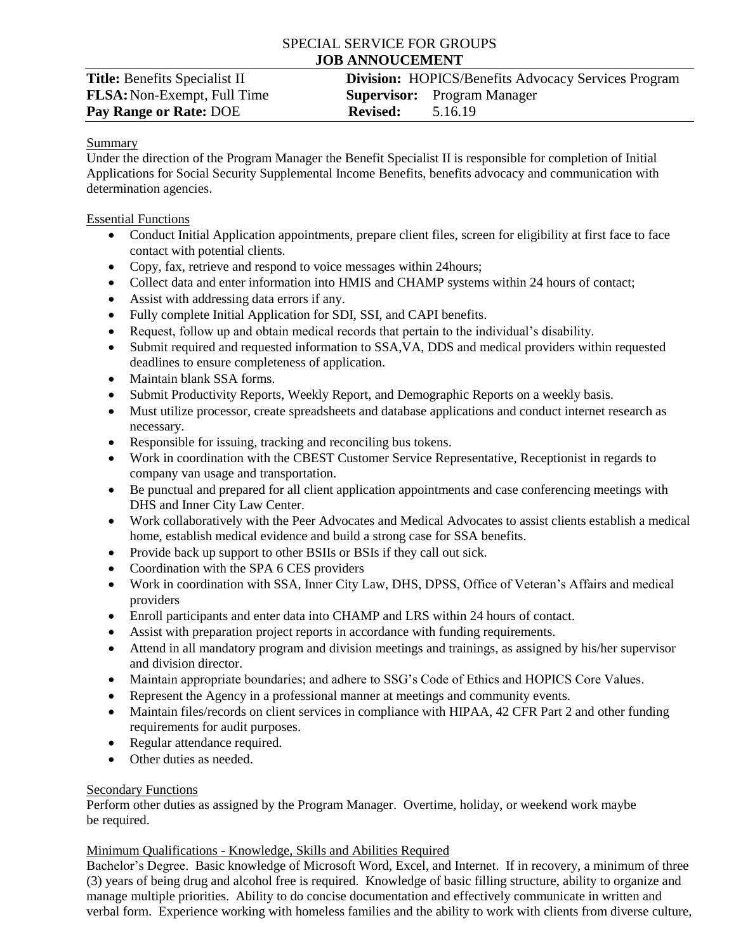# SPECIAL SERVICE FOR GROUPS **JOB ANNOUCEMENT**

### Summary

Under the direction of the Program Manager the Benefit Specialist II is responsible for completion of Initial Applications for Social Security Supplemental Income Benefits, benefits advocacy and communication with determination agencies.

### Essential Functions

- Conduct Initial Application appointments, prepare client files, screen for eligibility at first face to face contact with potential clients.
- Copy, fax, retrieve and respond to voice messages within 24 hours;
- Collect data and enter information into HMIS and CHAMP systems within 24 hours of contact;
- Assist with addressing data errors if any.
- Fully complete Initial Application for SDI, SSI, and CAPI benefits.
- Request, follow up and obtain medical records that pertain to the individual's disability.
- Submit required and requested information to SSA,VA, DDS and medical providers within requested deadlines to ensure completeness of application.
- Maintain blank SSA forms.
- Submit Productivity Reports, Weekly Report, and Demographic Reports on a weekly basis.
- Must utilize processor, create spreadsheets and database applications and conduct internet research as necessary.
- Responsible for issuing, tracking and reconciling bus tokens.
- Work in coordination with the CBEST Customer Service Representative, Receptionist in regards to company van usage and transportation.
- Be punctual and prepared for all client application appointments and case conferencing meetings with DHS and Inner City Law Center.
- Work collaboratively with the Peer Advocates and Medical Advocates to assist clients establish a medical home, establish medical evidence and build a strong case for SSA benefits.
- Provide back up support to other BSIIs or BSIs if they call out sick.
- Coordination with the SPA 6 CES providers
- Work in coordination with SSA, Inner City Law, DHS, DPSS, Office of Veteran's Affairs and medical providers
- Enroll participants and enter data into CHAMP and LRS within 24 hours of contact.
- Assist with preparation project reports in accordance with funding requirements.
- Attend in all mandatory program and division meetings and trainings, as assigned by his/her supervisor and division director.
- Maintain appropriate boundaries; and adhere to SSG's Code of Ethics and HOPICS Core Values.
- Represent the Agency in a professional manner at meetings and community events.
- Maintain files/records on client services in compliance with HIPAA, 42 CFR Part 2 and other funding requirements for audit purposes.
- Regular attendance required.
- Other duties as needed.

# Secondary Functions

Perform other duties as assigned by the Program Manager. Overtime, holiday, or weekend work maybe be required.

# Minimum Qualifications - Knowledge, Skills and Abilities Required

Bachelor's Degree. Basic knowledge of Microsoft Word, Excel, and Internet. If in recovery, a minimum of three (3) years of being drug and alcohol free is required. Knowledge of basic filling structure, ability to organize and manage multiple priorities. Ability to do concise documentation and effectively communicate in written and verbal form. Experience working with homeless families and the ability to work with clients from diverse culture,